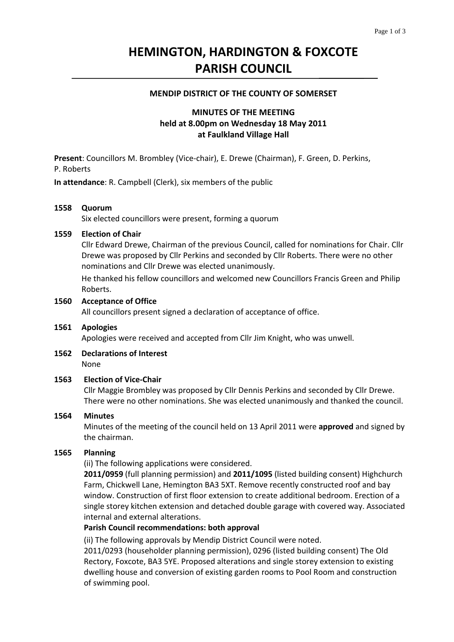# **HEMINGTON, HARDINGTON & FOXCOTE PARISH COUNCIL**

#### **MENDIP DISTRICT OF THE COUNTY OF SOMERSET**

# **MINUTES OF THE MEETING held at 8.00pm on Wednesday 18 May 2011 at Faulkland Village Hall**

**Present**: Councillors M. Brombley (Vice‐chair), E. Drewe (Chairman), F. Green, D. Perkins, P. Roberts

**In attendance**: R. Campbell (Clerk), six members of the public

#### **1558 Quorum**

Six elected councillors were present, forming a quorum

#### **1559 Election of Chair**

Cllr Edward Drewe, Chairman of the previous Council, called for nominations for Chair. Cllr Drewe was proposed by Cllr Perkins and seconded by Cllr Roberts. There were no other nominations and Cllr Drewe was elected unanimously.

 He thanked his fellow councillors and welcomed new Councillors Francis Green and Philip Roberts.

#### **1560 Acceptance of Office**

All councillors present signed a declaration of acceptance of office.

#### **1561 Apologies**

Apologies were received and accepted from Cllr Jim Knight, who was unwell.

**1562 Declarations of Interest** None

#### **1563 Election of Vice‐Chair**

Cllr Maggie Brombley was proposed by Cllr Dennis Perkins and seconded by Cllr Drewe. There were no other nominations. She was elected unanimously and thanked the council.

#### **1564 Minutes**

Minutes of the meeting of the council held on 13 April 2011 were **approved** and signed by the chairman.

#### **1565 Planning**

(ii) The following applications were considered.

**2011/0959** (full planning permission) and **2011/1095** (listed building consent) Highchurch Farm, Chickwell Lane, Hemington BA3 5XT. Remove recently constructed roof and bay window. Construction of first floor extension to create additional bedroom. Erection of a single storey kitchen extension and detached double garage with covered way. Associated internal and external alterations.

#### **Parish Council recommendations: both approval**

 (ii) The following approvals by Mendip District Council were noted.

2011/0293 (householder planning permission), 0296 (listed building consent) The Old Rectory, Foxcote, BA3 5YE. Proposed alterations and single storey extension to existing dwelling house and conversion of existing garden rooms to Pool Room and construction of swimming pool.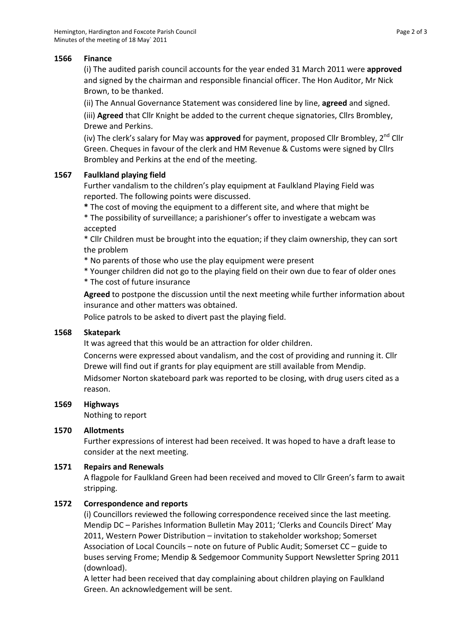## **1566 Finance**

(i) The audited parish council accounts for the year ended 31 March 2011 were **approved** and signed by the chairman and responsible financial officer. The Hon Auditor, Mr Nick Brown, to be thanked.

 (ii) The Annual Governance Statement was considered line by line, **agreed** and signed.

 (iii) **Agreed** that Cllr Knight be added to the current cheque signatories, Cllrs Brombley, Drewe and Perkins.

(iv) The clerk's salary for May was **approved** for payment, proposed Cllr Brombley, 2<sup>nd</sup> Cllr Green. Cheques in favour of the clerk and HM Revenue & Customs were signed by Cllrs Brombley and Perkins at the end of the meeting.

## **1567 Faulkland playing field**

Further vandalism to the children's play equipment at Faulkland Playing Field was reported. The following points were discussed.

**\*** The cost of moving the equipment to a different site, and where that might be

\* The possibility of surveillance; a parishioner's offer to investigate a webcam was accepted

\* Cllr Children must be brought into the equation; if they claim ownership, they can sort the problem

\* No parents of those who use the play equipment were present

\* Younger children did not go to the playing field on their own due to fear of older ones \* The cost of future insurance

**Agreed** to postpone the discussion until the next meeting while further information about insurance and other matters was obtained.

Police patrols to be asked to divert past the playing field.

# **1568 Skatepark**

It was agreed that this would be an attraction for older children.

 Concerns were expressed about vandalism, and the cost of providing and running it. Cllr Drewe will find out if grants for play equipment are still available from Mendip.

 Midsomer Norton skateboard park was reported to be closing, with drug users cited as a reason.

# **1569 Highways**

Nothing to report

## **1570 Allotments**

Further expressions of interest had been received. It was hoped to have a draft lease to consider at the next meeting.

## **1571 Repairs and Renewals**

A flagpole for Faulkland Green had been received and moved to Cllr Green's farm to await stripping.

# **1572 Correspondence and reports**

(i) Councillors reviewed the following correspondence received since the last meeting. Mendip DC – Parishes Information Bulletin May 2011; 'Clerks and Councils Direct' May 2011, Western Power Distribution – invitation to stakeholder workshop; Somerset Association of Local Councils – note on future of Public Audit; Somerset CC – guide to buses serving Frome; Mendip & Sedgemoor Community Support Newsletter Spring 2011 (download).

A letter had been received that day complaining about children playing on Faulkland Green. An acknowledgement will be sent.